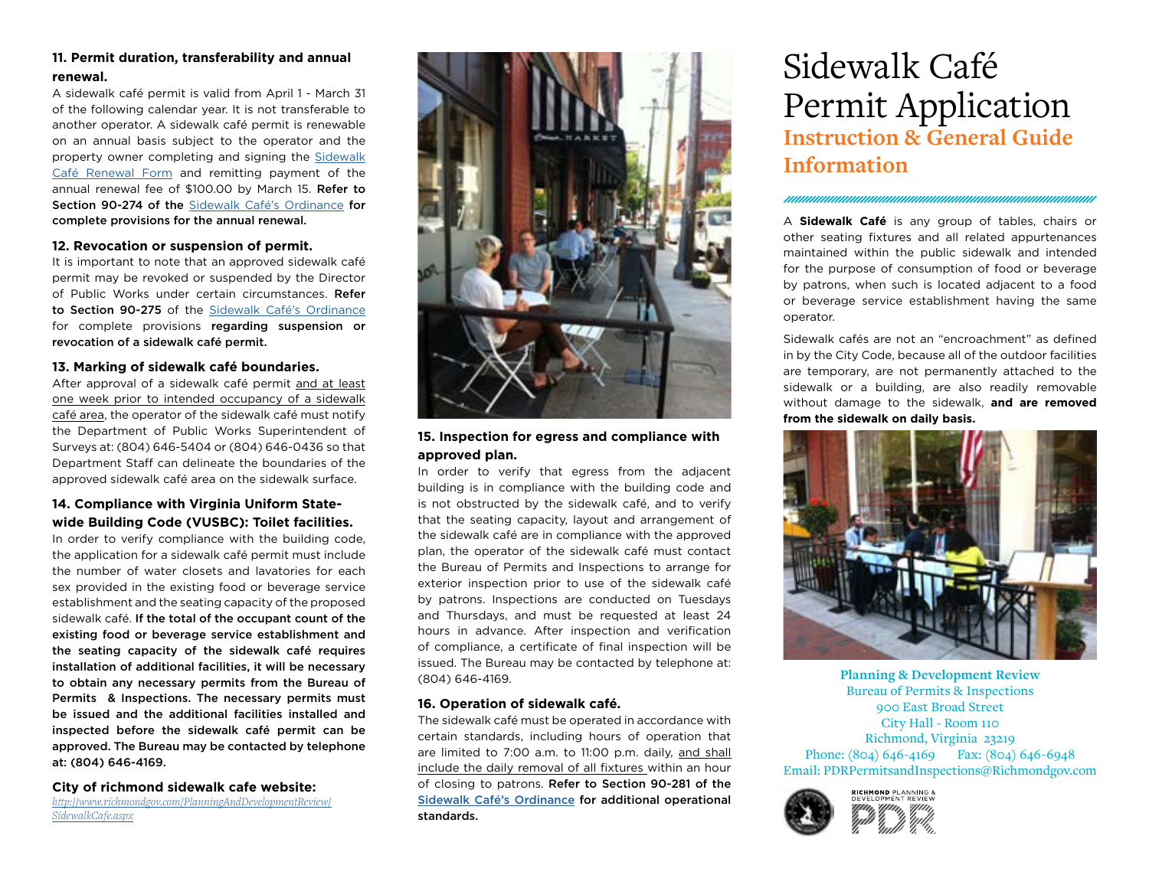# **11. Permit duration, transferability and annual renewal.**

A sidewalk café permit is valid from April 1 - March 31 of the following calendar year. It is not transferable to another operator. A sidewalk café permit is renewable on an annual basis subject to the operator and the property owner completing and signing the [Sidewalk](http://www.richmondgov.com/PlanningAndDevelopmentReview/SidewalkCafe.aspx)  [Café Renewal Form](http://www.richmondgov.com/PlanningAndDevelopmentReview/SidewalkCafe.aspx) and remitting payment of the annual renewal fee of \$100.00 by March 15. Refer to Section 90-274 of the [Sidewalk Café's Ordinance](http://www.richmondgov.com/PlanningAndDevelopmentReview/SidewalkCafe.aspx) for complete provisions for the annual renewal.

## **12. Revocation or suspension of permit.**

It is important to note that an approved sidewalk café permit may be revoked or suspended by the Director of Public Works under certain circumstances. Refer to Section 90-275 of the [Sidewalk Café's Ordinance](http://www.richmondgov.com/PlanningAndDevelopmentReview/SidewalkCafe.aspx) for complete provisions regarding suspension or revocation of a sidewalk café permit.

# **13. Marking of sidewalk café boundaries.**

After approval of a sidewalk café permit and at least one week prior to intended occupancy of a sidewalk café area, the operator of the sidewalk café must notify the Department of Public Works Superintendent of Surveys at: (804) 646-5404 or (804) 646-0436 so that Department Staff can delineate the boundaries of the approved sidewalk café area on the sidewalk surface.

# **14. Compliance with Virginia Uniform Statewide Building Code (VUSBC): Toilet facilities.**

In order to verify compliance with the building code, the application for a sidewalk café permit must include the number of water closets and lavatories for each sex provided in the existing food or beverage service establishment and the seating capacity of the proposed sidewalk café. If the total of the occupant count of the existing food or beverage service establishment and the seating capacity of the sidewalk café requires installation of additional facilities, it will be necessary to obtain any necessary permits from the Bureau of Permits & Inspections. The necessary permits must be issued and the additional facilities installed and inspected before the sidewalk café permit can be approved. The Bureau may be contacted by telephone at: (804) 646-4169.

## **City of richmond sidewalk cafe website:**

*[http://www.richmondgov.com/PlanningAndDevelopmentReview/](http://www.richmondgov.com/PlanningAndDevelopmentReview/SidewalkCafe.aspx) [SidewalkCafe.aspx](http://www.richmondgov.com/PlanningAndDevelopmentReview/SidewalkCafe.aspx)*



# **15. Inspection for egress and compliance with approved plan.**

In order to verify that egress from the adjacent building is in compliance with the building code and is not obstructed by the sidewalk café, and to verify that the seating capacity, layout and arrangement of the sidewalk café are in compliance with the approved plan, the operator of the sidewalk café must contact the Bureau of Permits and Inspections to arrange for exterior inspection prior to use of the sidewalk café by patrons. Inspections are conducted on Tuesdays and Thursdays, and must be requested at least 24 hours in advance. After inspection and verification of compliance, a certificate of final inspection will be issued. The Bureau may be contacted by telephone at: (804) 646-4169.

## **16. Operation of sidewalk café.**

The sidewalk café must be operated in accordance with certain standards, including hours of operation that are limited to 7:00 a.m. to 11:00 p.m. daily, and shall include the daily removal of all fixtures within an hour of closing to patrons. Refer to Section 90-281 of the [Sidewalk Café's Ordinance](http://www.richmondgov.com/PlanningAndDevelopmentReview/SidewalkCafe.aspx) for additional operational standards.

# Sidewalk Café Permit Application **Instruction & General Guide Information**

A **Sidewalk Café** is any group of tables, chairs or other seating fixtures and all related appurtenances maintained within the public sidewalk and intended for the purpose of consumption of food or beverage by patrons, when such is located adjacent to a food or beverage service establishment having the same operator.

http://www.article.com/www.article.com/www.article.com/www.article.com/www.article.com/www.article.com/www.article.com/www.article.com/www.article.com/www.article.com/www.article.com/www.article.com/www.article.com/www.art

Sidewalk cafés are not an "encroachment" as defined in by the City Code, because all of the outdoor facilities are temporary, are not permanently attached to the sidewalk or a building, are also readily removable without damage to the sidewalk, **and are removed from the sidewalk on daily basis.**



**Planning & Development Review**  Bureau of Permits & Inspections 900 East Broad Street City Hall - Room 110 Richmond, Virginia 23219 Phone: (804) 646-4169 Fax: (804) 646-6948 Email: PDRPermitsandInspections@Richmondgov.com